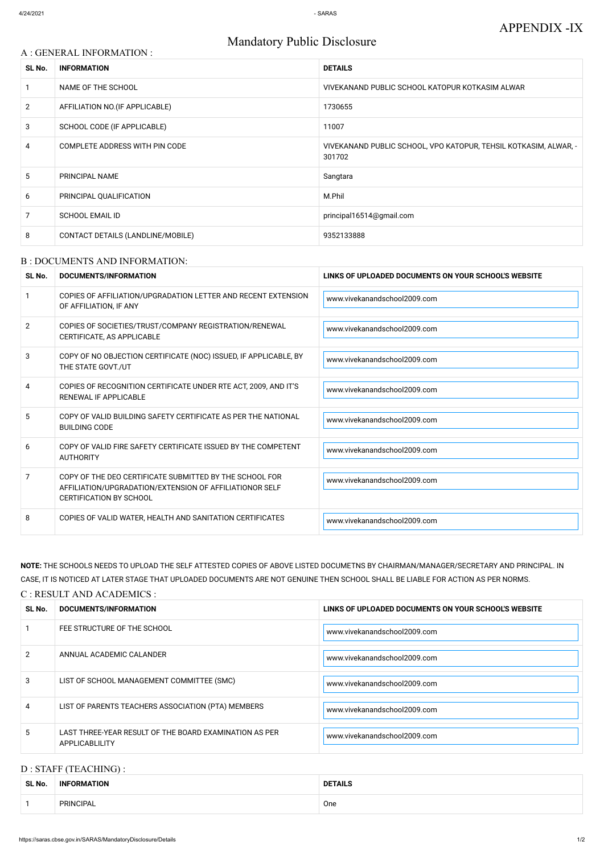# Mandatory Public Disclosure

| A : GENERAL INFORMATION : |                                   |                                                                            |  |  |
|---------------------------|-----------------------------------|----------------------------------------------------------------------------|--|--|
| SL No.                    | <b>INFORMATION</b>                | <b>DETAILS</b>                                                             |  |  |
|                           | NAME OF THE SCHOOL                | VIVEKANAND PUBLIC SCHOOL KATOPUR KOTKASIM ALWAR                            |  |  |
| $\overline{2}$            | AFFILIATION NO. (IF APPLICABLE)   | 1730655                                                                    |  |  |
| 3                         | SCHOOL CODE (IF APPLICABLE)       | 11007                                                                      |  |  |
| 4                         | COMPLETE ADDRESS WITH PIN CODE    | VIVEKANAND PUBLIC SCHOOL, VPO KATOPUR, TEHSIL KOTKASIM, ALWAR, -<br>301702 |  |  |
| 5                         | PRINCIPAL NAME                    | Sangtara                                                                   |  |  |
| 6                         | PRINCIPAL QUALIFICATION           | M.Phil                                                                     |  |  |
| 7                         | <b>SCHOOL EMAIL ID</b>            | principal16514@gmail.com                                                   |  |  |
| 8                         | CONTACT DETAILS (LANDLINE/MOBILE) | 9352133888                                                                 |  |  |

#### B : DOCUMENTS AND INFORMATION:

| SL No.         | <b>DOCUMENTS/INFORMATION</b>                                                                                                                         | LINKS OF UPLOADED DOCUMENTS ON YOUR SCHOOL'S WEBSITE |  |
|----------------|------------------------------------------------------------------------------------------------------------------------------------------------------|------------------------------------------------------|--|
|                | COPIES OF AFFILIATION/UPGRADATION LETTER AND RECENT EXTENSION<br>OF AFFILIATION, IF ANY                                                              | www.vivekanandschool2009.com                         |  |
| $\overline{2}$ | COPIES OF SOCIETIES/TRUST/COMPANY REGISTRATION/RENEWAL<br>CERTIFICATE, AS APPLICABLE                                                                 | www.vivekanandschool2009.com                         |  |
| 3              | COPY OF NO OBJECTION CERTIFICATE (NOC) ISSUED, IF APPLICABLE, BY<br>THE STATE GOVT./UT                                                               | www.vivekanandschool2009.com                         |  |
| 4              | COPIES OF RECOGNITION CERTIFICATE UNDER RTE ACT, 2009, AND IT'S<br>RENEWAL IF APPLICABLE                                                             | www.vivekanandschool2009.com                         |  |
| 5              | COPY OF VALID BUILDING SAFETY CERTIFICATE AS PER THE NATIONAL<br><b>BUILDING CODE</b>                                                                | www.vivekanandschool2009.com                         |  |
| 6              | COPY OF VALID FIRE SAFETY CERTIFICATE ISSUED BY THE COMPETENT<br><b>AUTHORITY</b>                                                                    | www.vivekanandschool2009.com                         |  |
| 7              | COPY OF THE DEO CERTIFICATE SUBMITTED BY THE SCHOOL FOR<br>AFFILIATION/UPGRADATION/EXTENSION OF AFFILIATIONOR SELF<br><b>CERTIFICATION BY SCHOOL</b> | www.vivekanandschool2009.com                         |  |
| 8              | COPIES OF VALID WATER, HEALTH AND SANITATION CERTIFICATES                                                                                            | www.vivekanandschool2009.com                         |  |

| $\mathcal{P}$ | ANNUAL ACADEMIC CALANDER                                                 | www.vivekanandschool2009.com |
|---------------|--------------------------------------------------------------------------|------------------------------|
| 3             | LIST OF SCHOOL MANAGEMENT COMMITTEE (SMC)                                | www.vivekanandschool2009.com |
| 4             | LIST OF PARENTS TEACHERS ASSOCIATION (PTA) MEMBERS                       | www.vivekanandschool2009.com |
| 5             | LAST THREE-YEAR RESULT OF THE BOARD EXAMINATION AS PER<br>APPLICABLILITY | www.vivekanandschool2009.com |

NOTE: THE SCHOOLS NEEDS TO UPLOAD THE SELF ATTESTED COPIES OF ABOVE LISTED DOCUMETNS BY CHAIRMAN/MANAGER/SECRETARY AND PRINCIPAL. IN CASE, IT IS NOTICED AT LATER STAGE THAT UPLOADED DOCUMENTS ARE NOT GENUINE THEN SCHOOL SHALL BE LIABLE FOR ACTION AS PER NORMS.

#### C : RESULT AND ACADEMICS :

| SL No. | DOCUMENTS/INFORMATION       | LINKS OF UPLOADED DOCUMENTS ON YOUR SCHOOL'S WEBSITE |  |
|--------|-----------------------------|------------------------------------------------------|--|
|        | FEE STRUCTURE OF THE SCHOOL | www.vivekanandschool2009.com                         |  |

### D : STAFF (TEACHING) :

| SL No. | <b>INFORMATION</b> | <b>DETAILS</b> |
|--------|--------------------|----------------|
|        | PRINCIPAL          | One            |